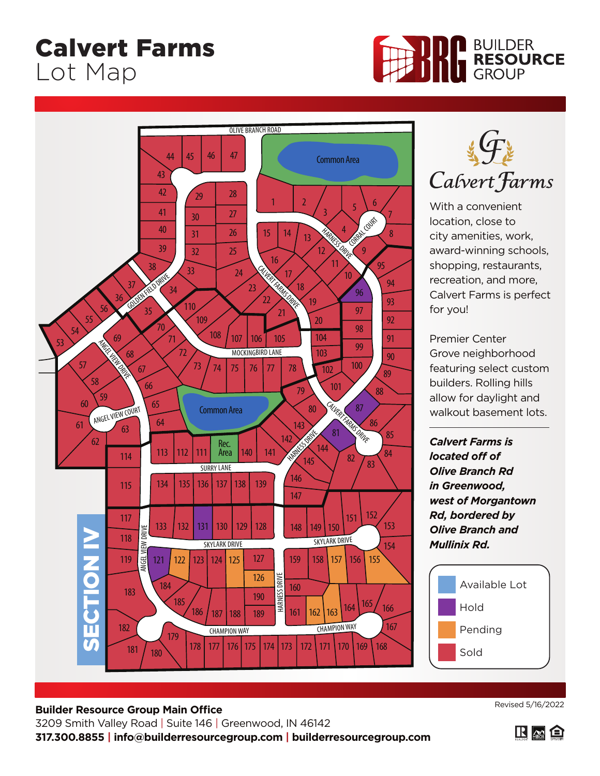## Calvert Farms Lot Map







With a convenient location, close to city amenities, work, award-winning schools, shopping, restaurants, recreation, and more, Calvert Farms is perfect for you!

Premier Center Grove neighborhood featuring select custom builders. Rolling hills allow for daylight and walkout basement lots.

*Calvert Farms is located off of Olive Branch Rd in Greenwood, west of Morgantown Rd, bordered by Olive Branch and Mullinix Rd.*



## **Builder Resource Group Main Office** 3209 Smith Valley Road | Suite 146 | Greenwood, IN 46142

Revised 5/16/2022